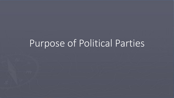# Purpose of Political Parties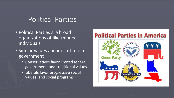### Political Parties

- Political Parties are broad organizations of like-minded individuals
- Similar values and idea of role of government
	- Conservatives favor limited federal government, and traditional values
	- Liberals favor progressive social values, and social programs

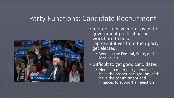### Party Functions: Candidate Recruitment



- In order to have more say in the government political parties work hard to help representatives from their party get elected.
	- Work at the Federal, State, and local levels

#### • Difficult to get good candidates

• Needs to meet party ideologies, have the proper background, and have the commitment and finances to support an election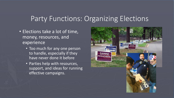#### Party Functions: Organizing Elections

- Elections take a lot of time, money, resources, and experience
	- Too much for any one person to handle, especially if they have never done it before
	- Parties help with resources, support, and ideas for running effective campaigns.

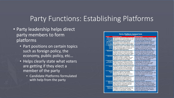### Party Functions: Establishing Platforms

- Party leadership helps direct party members to form platforms
	- Part positions on certain topics such as foreign policy, the economy, public policy, etc…
	- Helps clearly state what voters are getting if they elect a member of the party
		- Candidate Platforms formulated with help from the party

| <b>Party Platform Comparison</b> |                                               |                                               |
|----------------------------------|-----------------------------------------------|-----------------------------------------------|
| <b>ISSUE</b>                     | <b>REPUBLICANS</b>                            | <b>DEMOCRATS</b>                              |
| <b>New State</b>                 | Republicans oppose the initiative for a new   | Democrats support the initiative for a new    |
| <b>Income Tax</b>                | state income tax (I-1098) because we can't    | state income tax, despite a lingering         |
| $(1-1098)$                       | afford another job-killing tax increase.      | recession and high unemployment.              |
|                                  |                                               |                                               |
| 2/3 Vote to                      | Republicans support reinstating the           | Democrats abolished the voter-approved        |
| <b>Raise Taxes</b>               | requirement of a two-thirds majority vote of  | two-thirds requirement for tax increases      |
| $(1-1053)$                       | the Legislature to raise our taxes (I-1053).  | and now oppose reinstating the law.           |
| Crime &                          | Republicans support "Three Strikes, You're    | Democrats would eliminate "Three Strikes.     |
| <b>Public</b>                    | Out" sentences for career criminals, and the  | You're Out" sentences for career criminals.   |
| <b>Safety</b>                    | right of law-abiding citizens to keep and     | legalize marijuana, and slap further          |
|                                  | bear arms to defend themselves.               | restrictions on private gun ownership.        |
| <b>Education</b>                 | Republicans believe that parental choice      | Democrats resist parental choices. They       |
|                                  | through vouchers, tax credits and charter     | oppose all charter schools and voucher        |
|                                  | schools will result in "wider choices, higher | programs. They also oppose requiring          |
|                                  | quality, more innovation and lower costs."    | military recruiters access to public schools. |
| <b>Elections</b>                 | Republicans oppose the automatic              | Democrats believe felons should vote, even    |
|                                  | restoration of a felon's ability to vote, and | if they have not completed all the conditions |
|                                  | we support the Electoral College as an        | of their sentence, and they support the       |
|                                  | important protection for every state.         | abolition of the Electoral College.           |
| Energy &                         | Republicans are committed to American         | Democrats are committed to the                |
| <b>Environment</b>               | energy independence. We oppose Cap &          | implementation of a new Cap & Trade           |
|                                  | Trade as a massive job-killing energy tax     | energy tax, even in the middle of the         |
|                                  | that will do nothing to help the environment. | current economic recession.                   |
|                                  |                                               |                                               |
| Family                           | Republicans support marriage as the union     | Democrats support the following redefinition  |
|                                  | of one man and one woman, and believe         | of marriage: "Marriage, as a legal union of   |
|                                  | the family is the first and most important    | consenting adults, should not be restricted   |
|                                  | institution which preserves a free society.   | by sexual orientation or gender identity."    |
| <b>Health</b>                    | Republicans oppose a government               | Democrats call for a government-run           |
| Care                             | takeover of health care. We support           | "single-payer national health care plan" with |
|                                  | competition among health care providers       | numerous mandates and no choices              |
|                                  | and giving patients more choices.             | available to patients.                        |
| <b>Immigration</b>               | Republicans are committed to securing our     | Democrats believe illegal immigrants          |
|                                  | national borders and implementing an          | should receive amnesty and free access to     |
|                                  | enforceable guest-worker program, but         | tax-funded services such as health care       |
|                                  | oppose amnesty for illegal immigrants.        | and public education.                         |
| <b>National</b>                  | Republicans believe that "a strong America    | Democrats support a cabinet-level             |
| <b>Defense</b>                   | is a free America." We support policies       | "Department of Peace and Nonviolence"         |
|                                  | which defend our national security and        | and want to "make nonviolence the primary     |
|                                  | ensure peace through strength.                | organizing principle of our foreign policy."  |
| <b>Taxes and</b>                 | Republicans oppose all new tax increases.     | Democrats support a new state income tax,     |
| <b>Spending</b>                  | We believe that "limited government is the    | higher Social Security taxes, and more        |
|                                  | foundation of a free society," and thus       | government spending in every category         |
|                                  | support fiscal responsibility in government.  | except for national defense.                  |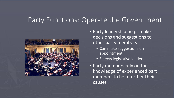## Party Functions: Operate the Government



- Party leadership helps make decisions and suggestions to other party members
	- Can make suggestions on appointment
	- Selects legislative leaders
- Party members rely on the knowledge of experienced part members to help further their causes